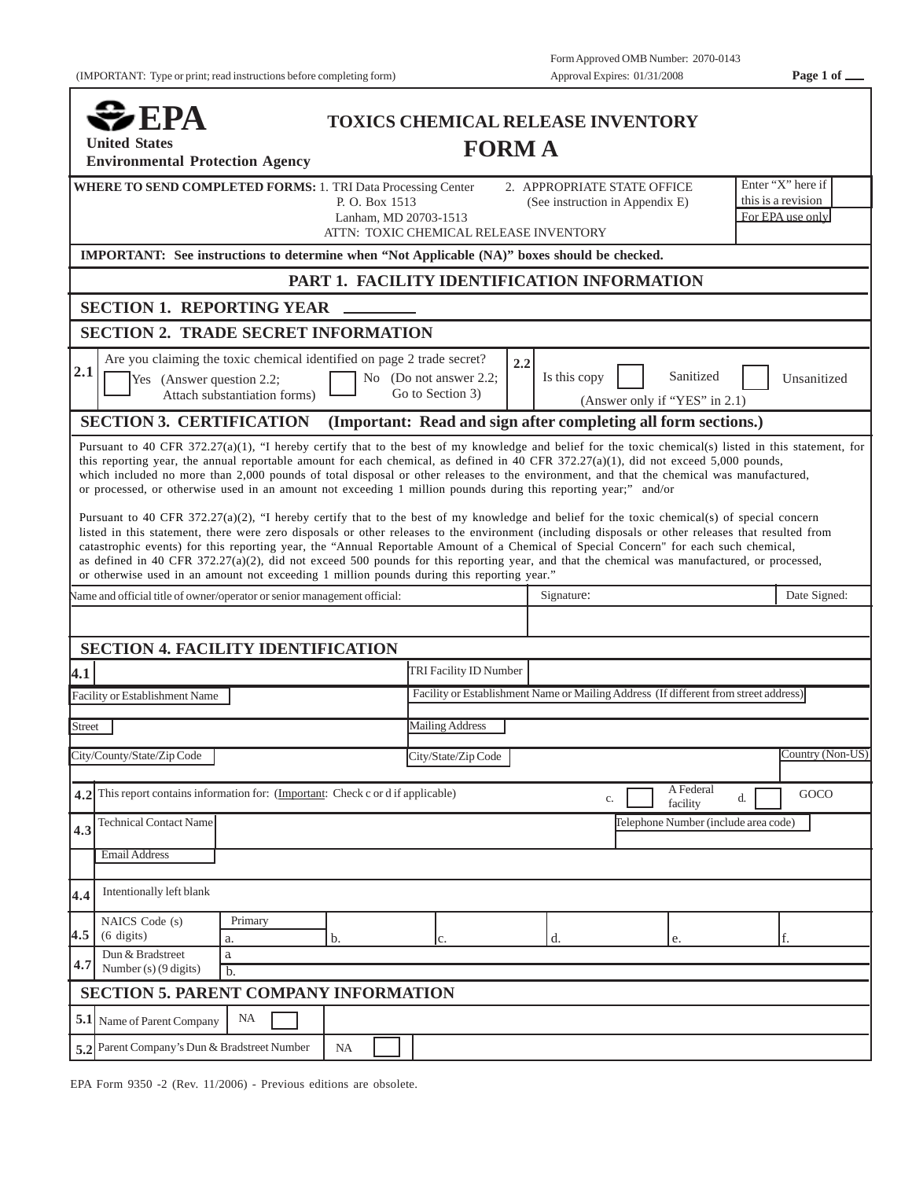|--|--|

| $\clubsuit$ EPA                                                                                                                                                                                                                                                                      |                                             |                        | <b>TOXICS CHEMICAL RELEASE INVENTORY</b>                                             |                                                             |
|--------------------------------------------------------------------------------------------------------------------------------------------------------------------------------------------------------------------------------------------------------------------------------------|---------------------------------------------|------------------------|--------------------------------------------------------------------------------------|-------------------------------------------------------------|
| <b>United States</b><br><b>Environmental Protection Agency</b>                                                                                                                                                                                                                       |                                             | <b>FORMA</b>           |                                                                                      |                                                             |
| <b>WHERE TO SEND COMPLETED FORMS: 1. TRI Data Processing Center</b>                                                                                                                                                                                                                  | P. O. Box 1513<br>Lanham, MD 20703-1513     |                        | 2. APPROPRIATE STATE OFFICE<br>(See instruction in Appendix E)                       | Enter "X" here if<br>this is a revision<br>For EPA use only |
| IMPORTANT: See instructions to determine when "Not Applicable (NA)" boxes should be checked.                                                                                                                                                                                         | ATTN: TOXIC CHEMICAL RELEASE INVENTORY      |                        |                                                                                      |                                                             |
|                                                                                                                                                                                                                                                                                      | PART 1. FACILITY IDENTIFICATION INFORMATION |                        |                                                                                      |                                                             |
| <b>SECTION 1. REPORTING YEAR</b>                                                                                                                                                                                                                                                     |                                             |                        |                                                                                      |                                                             |
| <b>SECTION 2. TRADE SECRET INFORMATION</b>                                                                                                                                                                                                                                           |                                             |                        |                                                                                      |                                                             |
| Are you claiming the toxic chemical identified on page 2 trade secret?<br>2.1<br>Yes (Answer question 2.2;<br>Attach substantiation forms)                                                                                                                                           | No (Do not answer 2.2;<br>Go to Section 3)  | 2.2                    | Is this copy<br>(Answer only if "YES" in 2.1)                                        | Sanitized<br>Unsanitized                                    |
| <b>SECTION 3. CERTIFICATION</b>                                                                                                                                                                                                                                                      |                                             |                        | (Important: Read and sign after completing all form sections.)                       |                                                             |
| catastrophic events) for this reporting year, the "Annual Reportable Amount of a Chemical of Special Concern" for each such chemical,<br>as defined in 40 CFR 372.27(a)(2), did not exceed 500 pounds for this reporting year, and that the chemical was manufactured, or processed, |                                             |                        |                                                                                      |                                                             |
| or otherwise used in an amount not exceeding 1 million pounds during this reporting year."<br>Vame and official title of owner/operator or senior management official:                                                                                                               |                                             |                        | Signature:                                                                           |                                                             |
|                                                                                                                                                                                                                                                                                      |                                             |                        |                                                                                      |                                                             |
| <b>SECTION 4. FACILITY IDENTIFICATION</b>                                                                                                                                                                                                                                            |                                             | TRI Facility ID Number |                                                                                      |                                                             |
| Facility or Establishment Name                                                                                                                                                                                                                                                       |                                             |                        | Facility or Establishment Name or Mailing Address (If different from street address) |                                                             |
| Street                                                                                                                                                                                                                                                                               |                                             | <b>Mailing Address</b> |                                                                                      |                                                             |
| City/County/State/Zip Code                                                                                                                                                                                                                                                           |                                             | City/State/Zip Code    |                                                                                      |                                                             |
| 4.1<br>This report contains information for: (Important: Check c or d if applicable)<br>4.2                                                                                                                                                                                          |                                             |                        | c.                                                                                   | A Federal<br>d.<br>facility                                 |
| <b>Technical Contact Name</b><br>4.3                                                                                                                                                                                                                                                 |                                             |                        |                                                                                      | Telephone Number (include area code)                        |
| <b>Email Address</b>                                                                                                                                                                                                                                                                 |                                             |                        |                                                                                      | Date Signed:<br>Country (Non-US)<br>GOCO                    |
| Intentionally left blank<br>4.4                                                                                                                                                                                                                                                      |                                             |                        |                                                                                      |                                                             |
| NAICS Code (s)<br>Primary<br>(6 digits)<br>a.                                                                                                                                                                                                                                        | b.                                          |                        | d.<br>e.                                                                             |                                                             |
| 4.5<br>Dun & Bradstreet<br>$\rm{a}$<br>4.7<br>Number (s) (9 digits)<br>$b$                                                                                                                                                                                                           |                                             | Ic.                    |                                                                                      |                                                             |
| <b>SECTION 5. PARENT COMPANY INFORMATION</b>                                                                                                                                                                                                                                         |                                             |                        |                                                                                      |                                                             |
| NA<br>5.1 Name of Parent Company                                                                                                                                                                                                                                                     |                                             |                        |                                                                                      |                                                             |

EPA Form 9350 -2 (Rev. 11/2006) - Previous editions are obsolete.